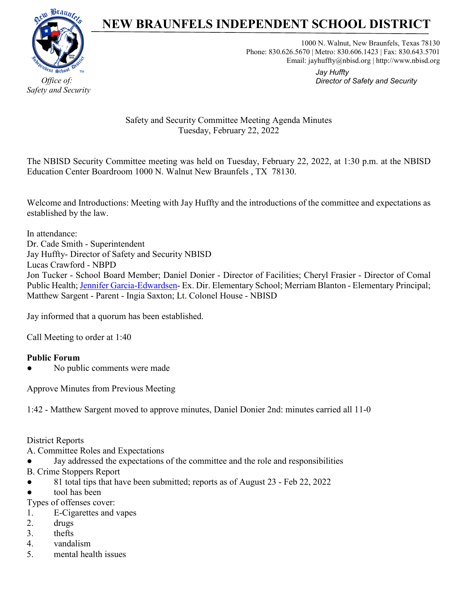

### **NEW BRAUNFELS INDEPENDENT SCHOOL DISTRICT**

1000 N. Walnut, New Braunfels, Texas 78130 Phone: 830.626.5670 | Metro: 830.606.1423 | Fax: 830.643.5701 Email: jayhuffty@nbisd.org | http://www.nbisd.org

> *Jay Huffty Director of Safety and Security*

Safety and Security Committee Meeting Agenda Minutes Tuesday, February 22, 2022

The NBISD Security Committee meeting was held on Tuesday, February 22, 2022, at 1:30 p.m. at the NBISD Education Center Boardroom 1000 N. Walnut New Braunfels , TX 78130.

Welcome and Introductions: Meeting with Jay Huffty and the introductions of the committee and expectations as established by the law.

In attendance: Dr. Cade Smith - Superintendent Jay Huffty- Director of Safety and Security NBISD Lucas Crawford - NBPD Jon Tucker - School Board Member; Daniel Donier - Director of Facilities; Cheryl Frasier - Director of Comal Public Health; [Jennifer Garcia-Edwardsen-](mailto:jgarciaedwardsen@nbisd.org) Ex. Dir. Elementary School; Merriam Blanton - Elementary Principal; Matthew Sargent - Parent - Ingia Saxton; Lt. Colonel House - NBISD

Jay informed that a quorum has been established.

Call Meeting to order at 1:40

#### **Public Forum**

No public comments were made

Approve Minutes from Previous Meeting

1:42 - Matthew Sargent moved to approve minutes, Daniel Donier 2nd: minutes carried all 11-0

District Reports

- A. Committee Roles and Expectations
- Jay addressed the expectations of the committee and the role and responsibilities
- B. Crime Stoppers Report
- 81 total tips that have been submitted; reports as of August 23 Feb 22, 2022
- tool has been

Types of offenses cover:

- 1. E-Cigarettes and vapes
- 2. drugs
- 3. thefts
- 4. vandalism
- 5. mental health issues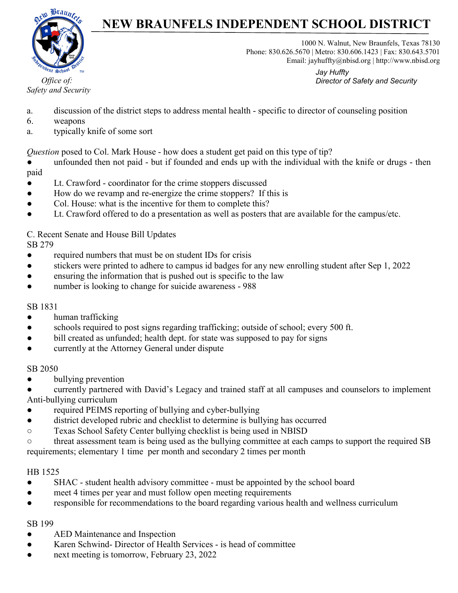

# **NEW BRAUNFELS INDEPENDENT SCHOOL DISTRICT**

1000 N. Walnut, New Braunfels, Texas 78130 Phone: 830.626.5670 | Metro: 830.606.1423 | Fax: 830.643.5701 Email: jayhuffty@nbisd.org | http://www.nbisd.org

> *Jay Huffty Director of Safety and Security*

- a. discussion of the district steps to address mental health specific to director of counseling position
- 6. weapons
- a. typically knife of some sort

*Question* posed to Col. Mark House - how does a student get paid on this type of tip?

• unfounded then not paid - but if founded and ends up with the individual with the knife or drugs - then paid

- Lt. Crawford coordinator for the crime stoppers discussed
- How do we revamp and re-energize the crime stoppers? If this is
- Col. House: what is the incentive for them to complete this?
- Lt. Crawford offered to do a presentation as well as posters that are available for the campus/etc.

C. Recent Senate and House Bill Updates SB 279

- required numbers that must be on student IDs for crisis
- stickers were printed to adhere to campus id badges for any new enrolling student after Sep 1, 2022
- ensuring the information that is pushed out is specific to the law
- number is looking to change for suicide awareness 988

#### SB 1831

- human trafficking
- schools required to post signs regarding trafficking; outside of school; every 500 ft.
- bill created as unfunded; health dept. for state was supposed to pay for signs
- currently at the Attorney General under dispute

#### SB 2050

• bullying prevention

currently partnered with David's Legacy and trained staff at all campuses and counselors to implement Anti-bullying curriculum

- required PEIMS reporting of bullying and cyber-bullying
- district developed rubric and checklist to determine is bullying has occurred
- Texas School Safety Center bullying checklist is being used in NBISD

○ threat assessment team is being used as the bullying committee at each camps to support the required SB requirements; elementary 1 time per month and secondary 2 times per month

#### HB 1525

- SHAC student health advisory committee must be appointed by the school board
- meet 4 times per year and must follow open meeting requirements
- responsible for recommendations to the board regarding various health and wellness curriculum

#### SB 199

- AED Maintenance and Inspection
- Karen Schwind- Director of Health Services is head of committee
- next meeting is tomorrow, February 23, 2022